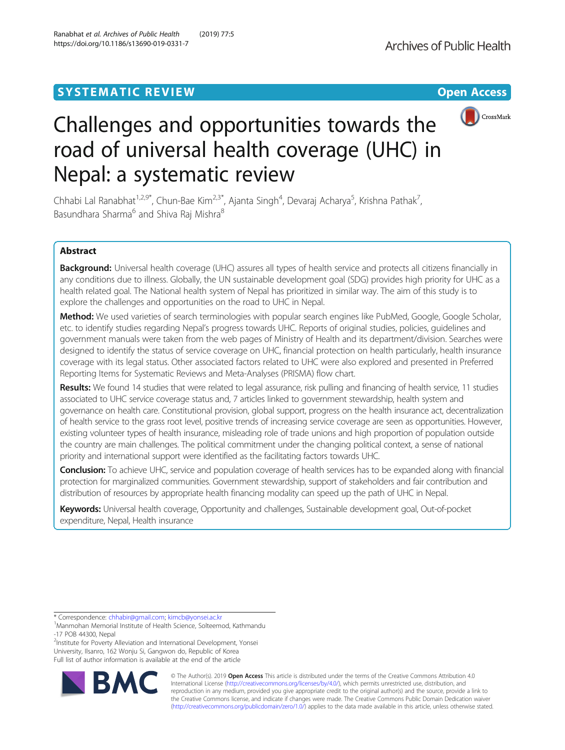# **SYSTEMATIC REVIEW ACCESS SYSTEMATIC REVIEW**



# Challenges and opportunities towards the road of universal health coverage (UHC) in Nepal: a systematic review

Chhabi Lal Ranabhat<sup>1,2,9\*</sup>, Chun-Bae Kim<sup>2,3\*</sup>, Ajanta Singh<sup>4</sup>, Devaraj Acharya<sup>5</sup>, Krishna Pathak<sup>7</sup> , Basundhara Sharma<sup>6</sup> and Shiva Raj Mishra<sup>8</sup>

# Abstract

Background: Universal health coverage (UHC) assures all types of health service and protects all citizens financially in any conditions due to illness. Globally, the UN sustainable development goal (SDG) provides high priority for UHC as a health related goal. The National health system of Nepal has prioritized in similar way. The aim of this study is to explore the challenges and opportunities on the road to UHC in Nepal.

Method: We used varieties of search terminologies with popular search engines like PubMed, Google, Google Scholar, etc. to identify studies regarding Nepal's progress towards UHC. Reports of original studies, policies, guidelines and government manuals were taken from the web pages of Ministry of Health and its department/division. Searches were designed to identify the status of service coverage on UHC, financial protection on health particularly, health insurance coverage with its legal status. Other associated factors related to UHC were also explored and presented in Preferred Reporting Items for Systematic Reviews and Meta-Analyses (PRISMA) flow chart.

Results: We found 14 studies that were related to legal assurance, risk pulling and financing of health service, 11 studies associated to UHC service coverage status and, 7 articles linked to government stewardship, health system and governance on health care. Constitutional provision, global support, progress on the health insurance act, decentralization of health service to the grass root level, positive trends of increasing service coverage are seen as opportunities. However, existing volunteer types of health insurance, misleading role of trade unions and high proportion of population outside the country are main challenges. The political commitment under the changing political context, a sense of national priority and international support were identified as the facilitating factors towards UHC.

Conclusion: To achieve UHC, service and population coverage of health services has to be expanded along with financial protection for marginalized communities. Government stewardship, support of stakeholders and fair contribution and distribution of resources by appropriate health financing modality can speed up the path of UHC in Nepal.

Keywords: Universal health coverage, Opportunity and challenges, Sustainable development goal, Out-of-pocket expenditure, Nepal, Health insurance

<sup>2</sup>Institute for Poverty Alleviation and International Development, Yonsei University, Ilsanro, 162 Wonju Si, Gangwon do, Republic of Korea Full list of author information is available at the end of the article



© The Author(s). 2019 **Open Access** This article is distributed under the terms of the Creative Commons Attribution 4.0 International License [\(http://creativecommons.org/licenses/by/4.0/](http://creativecommons.org/licenses/by/4.0/)), which permits unrestricted use, distribution, and reproduction in any medium, provided you give appropriate credit to the original author(s) and the source, provide a link to the Creative Commons license, and indicate if changes were made. The Creative Commons Public Domain Dedication waiver [\(http://creativecommons.org/publicdomain/zero/1.0/](http://creativecommons.org/publicdomain/zero/1.0/)) applies to the data made available in this article, unless otherwise stated.

<sup>\*</sup> Correspondence: [chhabir@gmail.com;](mailto:chhabir@gmail.com) [kimcb@yonsei.ac.kr](mailto:kimcb@yonsei.ac.kr) <sup>1</sup>

<sup>&</sup>lt;sup>1</sup> Manmohan Memorial Institute of Health Science, Solteemod, Kathmandu -17 POB 44300, Nepal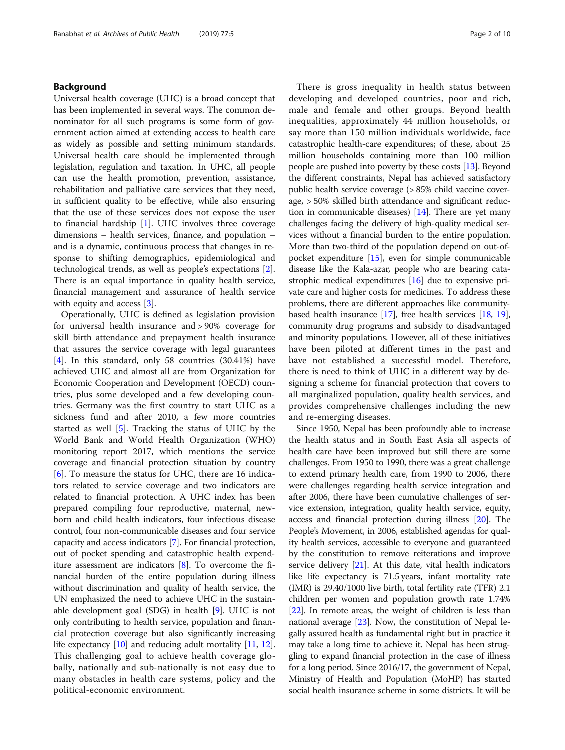# Background

Universal health coverage (UHC) is a broad concept that has been implemented in several ways. The common denominator for all such programs is some form of government action aimed at extending access to health care as widely as possible and setting minimum standards. Universal health care should be implemented through legislation, regulation and taxation. In UHC, all people can use the health promotion, prevention, assistance, rehabilitation and palliative care services that they need, in sufficient quality to be effective, while also ensuring that the use of these services does not expose the user to financial hardship [[1\]](#page-7-0). UHC involves three coverage dimensions – health services, finance, and population – and is a dynamic, continuous process that changes in response to shifting demographics, epidemiological and technological trends, as well as people's expectations [\[2](#page-7-0)]. There is an equal importance in quality health service, financial management and assurance of health service with equity and access [[3\]](#page-7-0).

Operationally, UHC is defined as legislation provision for universal health insurance and > 90% coverage for skill birth attendance and prepayment health insurance that assures the service coverage with legal guarantees [[4\]](#page-7-0). In this standard, only 58 countries (30.41%) have achieved UHC and almost all are from Organization for Economic Cooperation and Development (OECD) countries, plus some developed and a few developing countries. Germany was the first country to start UHC as a sickness fund and after 2010, a few more countries started as well [\[5](#page-7-0)]. Tracking the status of UHC by the World Bank and World Health Organization (WHO) monitoring report 2017, which mentions the service coverage and financial protection situation by country [[6\]](#page-7-0). To measure the status for UHC, there are 16 indicators related to service coverage and two indicators are related to financial protection. A UHC index has been prepared compiling four reproductive, maternal, newborn and child health indicators, four infectious disease control, four non-communicable diseases and four service capacity and access indicators [[7](#page-7-0)]. For financial protection, out of pocket spending and catastrophic health expenditure assessment are indicators [\[8](#page-7-0)]. To overcome the financial burden of the entire population during illness without discrimination and quality of health service, the UN emphasized the need to achieve UHC in the sustainable development goal (SDG) in health [\[9\]](#page-7-0). UHC is not only contributing to health service, population and financial protection coverage but also significantly increasing life expectancy [\[10](#page-7-0)] and reducing adult mortality [[11](#page-7-0), [12](#page-7-0)]. This challenging goal to achieve health coverage globally, nationally and sub-nationally is not easy due to many obstacles in health care systems, policy and the political-economic environment.

There is gross inequality in health status between developing and developed countries, poor and rich, male and female and other groups. Beyond health inequalities, approximately 44 million households, or say more than 150 million individuals worldwide, face catastrophic health-care expenditures; of these, about 25 million households containing more than 100 million people are pushed into poverty by these costs [\[13\]](#page-7-0). Beyond the different constraints, Nepal has achieved satisfactory public health service coverage (> 85% child vaccine coverage, > 50% skilled birth attendance and significant reduction in communicable diseases)  $[14]$  $[14]$  $[14]$ . There are yet many challenges facing the delivery of high-quality medical services without a financial burden to the entire population. More than two-third of the population depend on out-ofpocket expenditure [[15\]](#page-7-0), even for simple communicable disease like the Kala-azar, people who are bearing catastrophic medical expenditures [\[16\]](#page-7-0) due to expensive private care and higher costs for medicines. To address these problems, there are different approaches like communitybased health insurance [[17](#page-7-0)], free health services [\[18,](#page-8-0) [19](#page-8-0)], community drug programs and subsidy to disadvantaged and minority populations. However, all of these initiatives have been piloted at different times in the past and have not established a successful model. Therefore, there is need to think of UHC in a different way by designing a scheme for financial protection that covers to all marginalized population, quality health services, and provides comprehensive challenges including the new and re-emerging diseases.

Since 1950, Nepal has been profoundly able to increase the health status and in South East Asia all aspects of health care have been improved but still there are some challenges. From 1950 to 1990, there was a great challenge to extend primary health care, from 1990 to 2006, there were challenges regarding health service integration and after 2006, there have been cumulative challenges of service extension, integration, quality health service, equity, access and financial protection during illness [[20\]](#page-8-0). The People's Movement, in 2006, established agendas for quality health services, accessible to everyone and guaranteed by the constitution to remove reiterations and improve service delivery [[21](#page-8-0)]. At this date, vital health indicators like life expectancy is 71.5 years, infant mortality rate (IMR) is 29.40/1000 live birth, total fertility rate (TFR) 2.1 children per women and population growth rate 1.74% [[22](#page-8-0)]. In remote areas, the weight of children is less than national average [\[23](#page-8-0)]. Now, the constitution of Nepal legally assured health as fundamental right but in practice it may take a long time to achieve it. Nepal has been struggling to expand financial protection in the case of illness for a long period. Since 2016/17, the government of Nepal, Ministry of Health and Population (MoHP) has started social health insurance scheme in some districts. It will be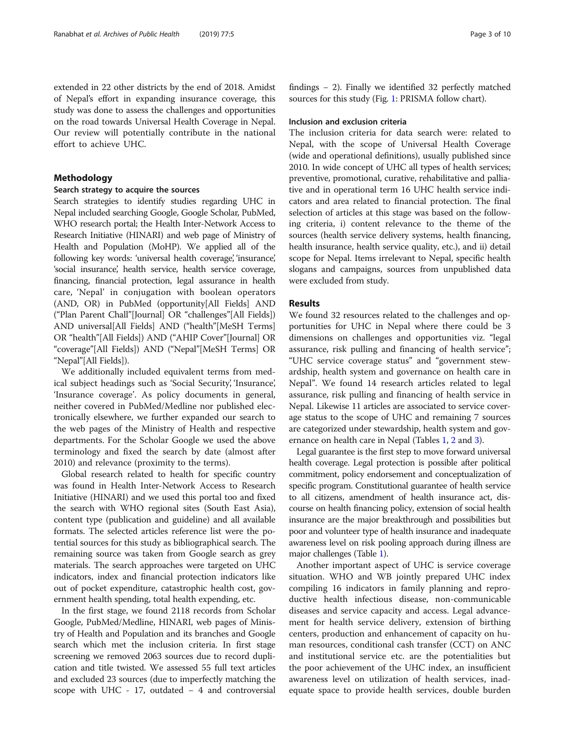extended in 22 other districts by the end of 2018. Amidst of Nepal's effort in expanding insurance coverage, this study was done to assess the challenges and opportunities on the road towards Universal Health Coverage in Nepal. Our review will potentially contribute in the national effort to achieve UHC.

# Methodology

# Search strategy to acquire the sources

Search strategies to identify studies regarding UHC in Nepal included searching Google, Google Scholar, PubMed, WHO research portal; the Health Inter-Network Access to Research Initiative (HINARI) and web page of Ministry of Health and Population (MoHP). We applied all of the following key words: 'universal health coverage', 'insurance', 'social insurance', health service, health service coverage, financing, financial protection, legal assurance in health care, 'Nepal' in conjugation with boolean operators (AND, OR) in PubMed (opportunity[All Fields] AND ("Plan Parent Chall"[Journal] OR "challenges"[All Fields]) AND universal[All Fields] AND ("health"[MeSH Terms] OR "health"[All Fields]) AND ("AHIP Cover"[Journal] OR "coverage"[All Fields]) AND ("Nepal"[MeSH Terms] OR "Nepal"[All Fields]).

We additionally included equivalent terms from medical subject headings such as 'Social Security', 'Insurance', 'Insurance coverage'. As policy documents in general, neither covered in PubMed/Medline nor published electronically elsewhere, we further expanded our search to the web pages of the Ministry of Health and respective departments. For the Scholar Google we used the above terminology and fixed the search by date (almost after 2010) and relevance (proximity to the terms).

Global research related to health for specific country was found in Health Inter-Network Access to Research Initiative (HINARI) and we used this portal too and fixed the search with WHO regional sites (South East Asia), content type (publication and guideline) and all available formats. The selected articles reference list were the potential sources for this study as bibliographical search. The remaining source was taken from Google search as grey materials. The search approaches were targeted on UHC indicators, index and financial protection indicators like out of pocket expenditure, catastrophic health cost, government health spending, total health expending, etc.

In the first stage, we found 2118 records from Scholar Google, PubMed/Medline, HINARI, web pages of Ministry of Health and Population and its branches and Google search which met the inclusion criteria. In first stage screening we removed 2063 sources due to record duplication and title twisted. We assessed 55 full text articles and excluded 23 sources (due to imperfectly matching the scope with UHC - 17, outdated − 4 and controversial findings − 2). Finally we identified 32 perfectly matched sources for this study (Fig. [1](#page-3-0): PRISMA follow chart).

#### Inclusion and exclusion criteria

The inclusion criteria for data search were: related to Nepal, with the scope of Universal Health Coverage (wide and operational definitions), usually published since 2010. In wide concept of UHC all types of health services; preventive, promotional, curative, rehabilitative and palliative and in operational term 16 UHC health service indicators and area related to financial protection. The final selection of articles at this stage was based on the following criteria, i) content relevance to the theme of the sources (health service delivery systems, health financing, health insurance, health service quality, etc.), and ii) detail scope for Nepal. Items irrelevant to Nepal, specific health slogans and campaigns, sources from unpublished data were excluded from study.

#### Results

We found 32 resources related to the challenges and opportunities for UHC in Nepal where there could be 3 dimensions on challenges and opportunities viz. "legal assurance, risk pulling and financing of health service"; "UHC service coverage status" and "government stewardship, health system and governance on health care in Nepal". We found 14 research articles related to legal assurance, risk pulling and financing of health service in Nepal. Likewise 11 articles are associated to service coverage status to the scope of UHC and remaining 7 sources are categorized under stewardship, health system and governance on health care in Nepal (Tables [1,](#page-4-0) [2](#page-5-0) and [3](#page-6-0)).

Legal guarantee is the first step to move forward universal health coverage. Legal protection is possible after political commitment, policy endorsement and conceptualization of specific program. Constitutional guarantee of health service to all citizens, amendment of health insurance act, discourse on health financing policy, extension of social health insurance are the major breakthrough and possibilities but poor and volunteer type of health insurance and inadequate awareness level on risk pooling approach during illness are major challenges (Table [1\)](#page-4-0).

Another important aspect of UHC is service coverage situation. WHO and WB jointly prepared UHC index compiling 16 indicators in family planning and reproductive health infectious disease, non-communicable diseases and service capacity and access. Legal advancement for health service delivery, extension of birthing centers, production and enhancement of capacity on human resources, conditional cash transfer (CCT) on ANC and institutional service etc. are the potentialities but the poor achievement of the UHC index, an insufficient awareness level on utilization of health services, inadequate space to provide health services, double burden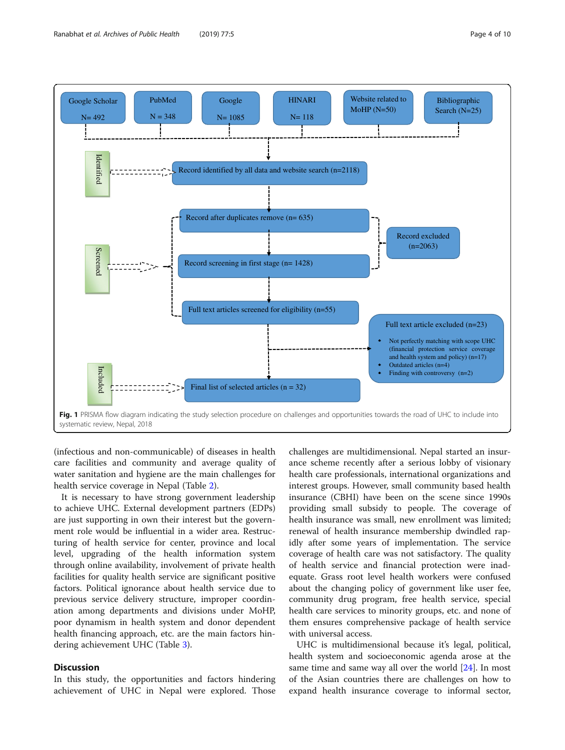<span id="page-3-0"></span>

(infectious and non-communicable) of diseases in health care facilities and community and average quality of water sanitation and hygiene are the main challenges for health service coverage in Nepal (Table [2](#page-5-0)).

It is necessary to have strong government leadership to achieve UHC. External development partners (EDPs) are just supporting in own their interest but the government role would be influential in a wider area. Restructuring of health service for center, province and local level, upgrading of the health information system through online availability, involvement of private health facilities for quality health service are significant positive factors. Political ignorance about health service due to previous service delivery structure, improper coordination among departments and divisions under MoHP, poor dynamism in health system and donor dependent health financing approach, etc. are the main factors hindering achievement UHC (Table [3](#page-6-0)).

# **Discussion**

In this study, the opportunities and factors hindering achievement of UHC in Nepal were explored. Those

challenges are multidimensional. Nepal started an insurance scheme recently after a serious lobby of visionary health care professionals, international organizations and interest groups. However, small community based health insurance (CBHI) have been on the scene since 1990s providing small subsidy to people. The coverage of health insurance was small, new enrollment was limited; renewal of health insurance membership dwindled rapidly after some years of implementation. The service coverage of health care was not satisfactory. The quality of health service and financial protection were inadequate. Grass root level health workers were confused about the changing policy of government like user fee, community drug program, free health service, special health care services to minority groups, etc. and none of them ensures comprehensive package of health service with universal access.

UHC is multidimensional because it's legal, political, health system and socioeconomic agenda arose at the same time and same way all over the world [[24](#page-8-0)]. In most of the Asian countries there are challenges on how to expand health insurance coverage to informal sector,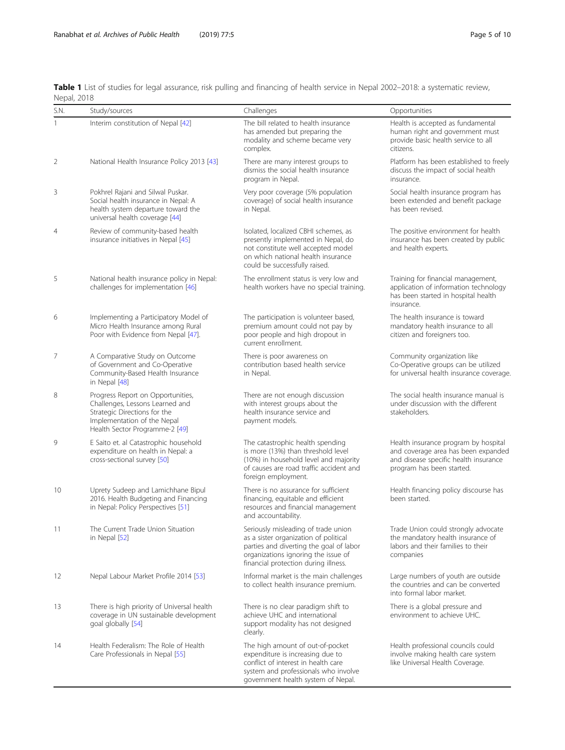<span id="page-4-0"></span>

|             | Table 1 List of studies for legal assurance, risk pulling and financing of health service in Nepal 2002-2018: a systematic review, |  |  |  |  |  |  |  |
|-------------|------------------------------------------------------------------------------------------------------------------------------------|--|--|--|--|--|--|--|
| Nepal, 2018 |                                                                                                                                    |  |  |  |  |  |  |  |

| S.N.           | Study/sources                                                                                                                                                         | Challenges                                                                                                                                                                                             | Opportunities                                                                                                                                     |  |  |
|----------------|-----------------------------------------------------------------------------------------------------------------------------------------------------------------------|--------------------------------------------------------------------------------------------------------------------------------------------------------------------------------------------------------|---------------------------------------------------------------------------------------------------------------------------------------------------|--|--|
| 1              | Interim constitution of Nepal [42]                                                                                                                                    | The bill related to health insurance<br>has amended but preparing the<br>modality and scheme became very<br>complex.                                                                                   | Health is accepted as fundamental<br>human right and government must<br>provide basic health service to all<br>citizens.                          |  |  |
| 2              | National Health Insurance Policy 2013 [43]                                                                                                                            | There are many interest groups to<br>dismiss the social health insurance<br>program in Nepal.                                                                                                          | Platform has been established to freely<br>discuss the impact of social health<br>insurance.                                                      |  |  |
| 3              | Pokhrel Rajani and Silwal Puskar.<br>Social health insurance in Nepal: A<br>health system departure toward the<br>universal health coverage [44]                      | Very poor coverage (5% population<br>coverage) of social health insurance<br>in Nepal.                                                                                                                 | Social health insurance program has<br>been extended and benefit package<br>has been revised.                                                     |  |  |
| $\overline{4}$ | Review of community-based health<br>insurance initiatives in Nepal [45]                                                                                               | Isolated, localized CBHI schemes, as<br>presently implemented in Nepal, do<br>not constitute well accepted model<br>on which national health insurance<br>could be successfully raised.                | The positive environment for health<br>insurance has been created by public<br>and health experts.                                                |  |  |
| 5              | National health insurance policy in Nepal:<br>challenges for implementation [46]                                                                                      | The enrollment status is very low and<br>health workers have no special training.                                                                                                                      | Training for financial management,<br>application of information technology<br>has been started in hospital health<br>insurance.                  |  |  |
| 6              | Implementing a Participatory Model of<br>Micro Health Insurance among Rural<br>Poor with Evidence from Nepal [47].                                                    | The participation is volunteer based,<br>premium amount could not pay by<br>poor people and high dropout in<br>current enrollment.                                                                     | The health insurance is toward<br>mandatory health insurance to all<br>citizen and foreigners too.                                                |  |  |
| 7              | A Comparative Study on Outcome<br>of Government and Co-Operative<br>Community-Based Health Insurance<br>in Nepal [48]                                                 | There is poor awareness on<br>contribution based health service<br>in Nepal.                                                                                                                           | Community organization like<br>Co-Operative groups can be utilized<br>for universal health insurance coverage.                                    |  |  |
| 8              | Progress Report on Opportunities,<br>Challenges, Lessons Learned and<br>Strategic Directions for the<br>Implementation of the Nepal<br>Health Sector Programme-2 [49] | There are not enough discussion<br>with interest groups about the<br>health insurance service and<br>payment models.                                                                                   | The social health insurance manual is<br>under discussion with the different<br>stakeholders.                                                     |  |  |
| 9              | E Saito et. al Catastrophic household<br>expenditure on health in Nepal: a<br>cross-sectional survey [50]                                                             | The catastrophic health spending<br>is more (13%) than threshold level<br>(10%) in household level and majority<br>of causes are road traffic accident and<br>foreign employment.                      | Health insurance program by hospital<br>and coverage area has been expanded<br>and disease specific health insurance<br>program has been started. |  |  |
| 10             | Uprety Sudeep and Lamichhane Bipul<br>2016. Health Budgeting and Financing<br>in Nepal: Policy Perspectives [51]                                                      | There is no assurance for sufficient<br>financing, equitable and efficient<br>resources and financial management<br>and accountability.                                                                | Health financing policy discourse has<br>been started.                                                                                            |  |  |
| 11             | The Current Trade Union Situation<br>in Nepal [52]                                                                                                                    | Seriously misleading of trade union<br>as a sister organization of political<br>parties and diverting the goal of labor<br>organizations ignoring the issue of<br>financial protection during illness. | Trade Union could strongly advocate<br>the mandatory health insurance of<br>labors and their families to their<br>companies                       |  |  |
| 12             | Nepal Labour Market Profile 2014 [53]                                                                                                                                 | Informal market is the main challenges<br>to collect health insurance premium.                                                                                                                         | Large numbers of youth are outside<br>the countries and can be converted<br>into formal labor market.                                             |  |  |
| 13             | There is high priority of Universal health<br>coverage in UN sustainable development<br>goal globally [54]                                                            | There is no clear paradigm shift to<br>achieve UHC and international<br>support modality has not designed<br>clearly.                                                                                  | There is a global pressure and<br>environment to achieve UHC.                                                                                     |  |  |
| 14             | Health Federalism: The Role of Health<br>Care Professionals in Nepal [55]                                                                                             | The high amount of out-of-pocket<br>expenditure is increasing due to<br>conflict of interest in health care<br>system and professionals who involve<br>government health system of Nepal.              | Health professional councils could<br>involve making health care system<br>like Universal Health Coverage.                                        |  |  |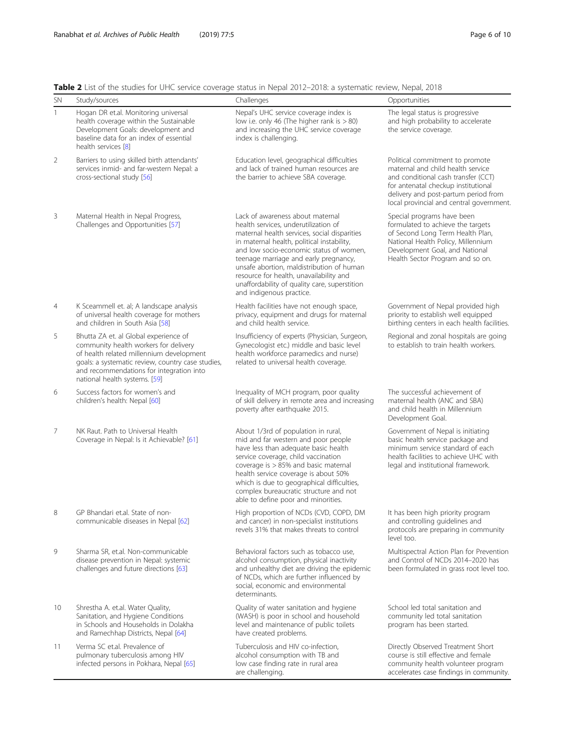<span id="page-5-0"></span>Table 2 List of the studies for UHC service coverage status in Nepal 2012–2018: a systematic review, Nepal, 2018

| <b>SN</b>    | Study/sources                                                                                                                                                                                                                                                | Challenges                                                                                                                                                                                                                                                                                                                                                                                                                      | Opportunities                                                                                                                                                                                                                          |  |  |
|--------------|--------------------------------------------------------------------------------------------------------------------------------------------------------------------------------------------------------------------------------------------------------------|---------------------------------------------------------------------------------------------------------------------------------------------------------------------------------------------------------------------------------------------------------------------------------------------------------------------------------------------------------------------------------------------------------------------------------|----------------------------------------------------------------------------------------------------------------------------------------------------------------------------------------------------------------------------------------|--|--|
| $\mathbf{1}$ | Hogan DR et.al. Monitoring universal<br>health coverage within the Sustainable<br>Development Goals: development and<br>baseline data for an index of essential<br>health services [8]                                                                       | Nepal's UHC service coverage index is<br>low i.e. only 46 (The higher rank is $> 80$ )<br>and increasing the UHC service coverage<br>index is challenging.                                                                                                                                                                                                                                                                      | The legal status is progressive<br>and high probability to accelerate<br>the service coverage.                                                                                                                                         |  |  |
| 2            | Barriers to using skilled birth attendants'<br>services inmid- and far-western Nepal: a<br>cross-sectional study [56]                                                                                                                                        | Education level, geographical difficulties<br>and lack of trained human resources are<br>the barrier to achieve SBA coverage.                                                                                                                                                                                                                                                                                                   | Political commitment to promote<br>maternal and child health service<br>and conditional cash transfer (CCT)<br>for antenatal checkup institutional<br>delivery and post-partum period from<br>local provincial and central government. |  |  |
| 3            | Maternal Health in Nepal Progress,<br>Challenges and Opportunities [57]                                                                                                                                                                                      | Lack of awareness about maternal<br>health services, underutilization of<br>maternal health services, social disparities<br>in maternal health, political instability,<br>and low socio-economic status of women,<br>teenage marriage and early pregnancy,<br>unsafe abortion, maldistribution of human<br>resource for health, unavailability and<br>unaffordability of quality care, superstition<br>and indigenous practice. | Special programs have been<br>formulated to achieve the targets<br>of Second Long Term Health Plan,<br>National Health Policy, Millennium<br>Development Goal, and National<br>Health Sector Program and so on.                        |  |  |
| 4            | K Sceammell et. al; A landscape analysis<br>of universal health coverage for mothers<br>and children in South Asia [58]                                                                                                                                      | Health facilities have not enough space,<br>privacy, equipment and drugs for maternal<br>and child health service.                                                                                                                                                                                                                                                                                                              | Government of Nepal provided high<br>priority to establish well equipped<br>birthing centers in each health facilities.                                                                                                                |  |  |
| 5            | Bhutta ZA et. al Global experience of<br>community health workers for delivery<br>of health related millennium development<br>goals: a systematic review, country case studies,<br>and recommendations for integration into<br>national health systems. [59] | Insufficiency of experts (Physician, Surgeon,<br>Gynecologist etc.) middle and basic level<br>health workforce paramedics and nurse)<br>related to universal health coverage.                                                                                                                                                                                                                                                   | Regional and zonal hospitals are going<br>to establish to train health workers.                                                                                                                                                        |  |  |
| 6            | Success factors for women's and<br>children's health: Nepal [60]                                                                                                                                                                                             | Inequality of MCH program, poor quality<br>of skill delivery in remote area and increasing<br>poverty after earthquake 2015.                                                                                                                                                                                                                                                                                                    | The successful achievement of<br>maternal health (ANC and SBA)<br>and child health in Millennium<br>Development Goal.                                                                                                                  |  |  |
| 7            | NK Raut. Path to Universal Health<br>Coverage in Nepal: Is it Achievable? [61]                                                                                                                                                                               | About 1/3rd of population in rural,<br>mid and far western and poor people<br>have less than adequate basic health<br>service coverage, child vaccination<br>coverage is > 85% and basic maternal<br>health service coverage is about 50%<br>which is due to geographical difficulties,<br>complex bureaucratic structure and not<br>able to define poor and minorities.                                                        | Government of Nepal is initiating<br>basic health service package and<br>minimum service standard of each<br>health facilities to achieve UHC with<br>legal and institutional framework.                                               |  |  |
| 8            | GP Bhandari et al. State of non-<br>communicable diseases in Nepal [62]                                                                                                                                                                                      | High proportion of NCDs (CVD, COPD, DM<br>and cancer) in non-specialist institutions<br>revels 31% that makes threats to control                                                                                                                                                                                                                                                                                                | It has been high priority program<br>and controlling guidelines and<br>protocols are preparing in community<br>level too.                                                                                                              |  |  |
| 9            | Sharma SR, et.al. Non-communicable<br>disease prevention in Nepal: systemic<br>challenges and future directions [63]                                                                                                                                         | Behavioral factors such as tobacco use,<br>alcohol consumption, physical inactivity<br>and unhealthy diet are driving the epidemic<br>of NCDs, which are further influenced by<br>social, economic and environmental<br>determinants.                                                                                                                                                                                           | Multispectral Action Plan for Prevention<br>and Control of NCDs 2014-2020 has<br>been formulated in grass root level too.                                                                                                              |  |  |
| 10           | Shrestha A. et.al. Water Quality,<br>Sanitation, and Hygiene Conditions<br>in Schools and Households in Dolakha<br>and Ramechhap Districts, Nepal [64]                                                                                                       | Quality of water sanitation and hygiene<br>(WASH) is poor in school and household<br>level and maintenance of public toilets<br>have created problems.                                                                                                                                                                                                                                                                          | School led total sanitation and<br>community led total sanitation<br>program has been started.                                                                                                                                         |  |  |
| 11           | Verma SC et.al. Prevalence of<br>pulmonary tuberculosis among HIV<br>infected persons in Pokhara, Nepal [65]                                                                                                                                                 | Tuberculosis and HIV co-infection,<br>alcohol consumption with TB and<br>low case finding rate in rural area<br>are challenging.                                                                                                                                                                                                                                                                                                | Directly Observed Treatment Short<br>course is still effective and female<br>community health volunteer program<br>accelerates case findings in community.                                                                             |  |  |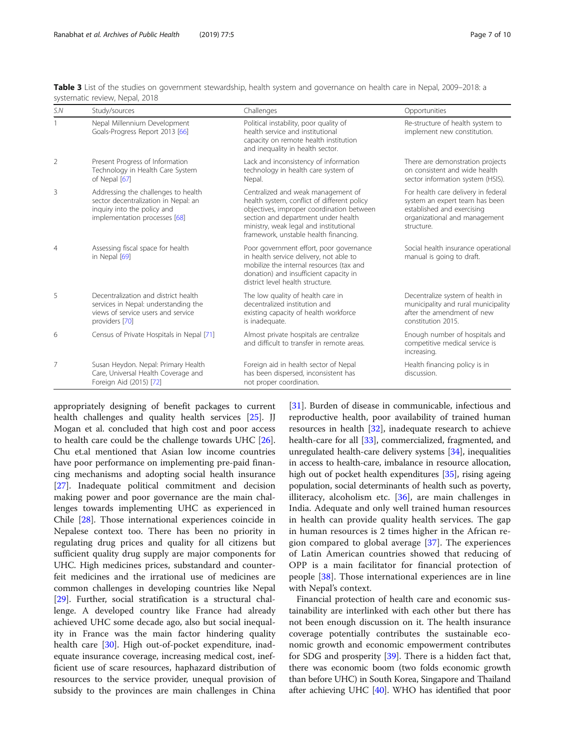| S.N            | Study/sources                                                                                                                               | Challenges                                                                                                                                                                                                                                               | Opportunities                                                                                                                                      |
|----------------|---------------------------------------------------------------------------------------------------------------------------------------------|----------------------------------------------------------------------------------------------------------------------------------------------------------------------------------------------------------------------------------------------------------|----------------------------------------------------------------------------------------------------------------------------------------------------|
|                | Nepal Millennium Development<br>Goals-Progress Report 2013 [66]                                                                             | Political instability, poor quality of<br>health service and institutional<br>capacity on remote health institution<br>and inequality in health sector.                                                                                                  | Re-structure of health system to<br>implement new constitution.                                                                                    |
| $\overline{2}$ | Present Progress of Information<br>Technology in Health Care System<br>of Nepal [67]                                                        | Lack and inconsistency of information<br>technology in health care system of<br>Nepal.                                                                                                                                                                   | There are demonstration projects<br>on consistent and wide health<br>sector information system (HSIS).                                             |
| 3              | Addressing the challenges to health<br>sector decentralization in Nepal: an<br>inquiry into the policy and<br>implementation processes [68] | Centralized and weak management of<br>health system, conflict of different policy<br>objectives, improper coordination between<br>section and department under health<br>ministry, weak legal and institutional<br>framework, unstable health financing. | For health care delivery in federal<br>system an expert team has been<br>established and exercising<br>organizational and management<br>structure. |
| $\overline{4}$ | Assessing fiscal space for health<br>in Nepal [69]                                                                                          | Poor government effort, poor governance<br>in health service delivery, not able to<br>mobilize the internal resources (tax and<br>donation) and insufficient capacity in<br>district level health structure.                                             | Social health insurance operational<br>manual is going to draft.                                                                                   |
| 5              | Decentralization and district health<br>services in Nepal: understanding the<br>views of service users and service<br>providers [70]        | The low quality of health care in<br>decentralized institution and<br>existing capacity of health workforce<br>is inadequate.                                                                                                                            | Decentralize system of health in<br>municipality and rural municipality<br>after the amendment of new<br>constitution 2015.                        |
| 6              | Census of Private Hospitals in Nepal [71]                                                                                                   | Almost private hospitals are centralize<br>and difficult to transfer in remote areas.                                                                                                                                                                    | Enough number of hospitals and<br>competitive medical service is<br>increasing.                                                                    |
| 7              | Susan Heydon. Nepal: Primary Health<br>Care, Universal Health Coverage and<br>Foreign Aid (2015) [72]                                       | Foreign aid in health sector of Nepal<br>has been dispersed, inconsistent has<br>not proper coordination.                                                                                                                                                | Health financing policy is in<br>discussion.                                                                                                       |

<span id="page-6-0"></span>Table 3 List of the studies on government stewardship, health system and governance on health care in Nepal, 2009–2018: a systematic review, Nepal, 2018

appropriately designing of benefit packages to current health challenges and quality health services [\[25\]](#page-8-0). JJ Mogan et al. concluded that high cost and poor access to health care could be the challenge towards UHC [\[26](#page-8-0)]. Chu et.al mentioned that Asian low income countries have poor performance on implementing pre-paid financing mechanisms and adopting social health insurance [[27\]](#page-8-0). Inadequate political commitment and decision making power and poor governance are the main challenges towards implementing UHC as experienced in Chile [[28\]](#page-8-0). Those international experiences coincide in Nepalese context too. There has been no priority in regulating drug prices and quality for all citizens but sufficient quality drug supply are major components for UHC. High medicines prices, substandard and counterfeit medicines and the irrational use of medicines are common challenges in developing countries like Nepal [[29\]](#page-8-0). Further, social stratification is a structural challenge. A developed country like France had already achieved UHC some decade ago, also but social inequality in France was the main factor hindering quality health care [\[30](#page-8-0)]. High out-of-pocket expenditure, inadequate insurance coverage, increasing medical cost, inefficient use of scare resources, haphazard distribution of resources to the service provider, unequal provision of subsidy to the provinces are main challenges in China [[31\]](#page-8-0). Burden of disease in communicable, infectious and reproductive health, poor availability of trained human resources in health [\[32\]](#page-8-0), inadequate research to achieve health-care for all [\[33\]](#page-8-0), commercialized, fragmented, and unregulated health-care delivery systems [\[34\]](#page-8-0), inequalities in access to health-care, imbalance in resource allocation, high out of pocket health expenditures [\[35\]](#page-8-0), rising ageing population, social determinants of health such as poverty, illiteracy, alcoholism etc.  $[36]$  $[36]$ , are main challenges in India. Adequate and only well trained human resources in health can provide quality health services. The gap in human resources is 2 times higher in the African region compared to global average [[37\]](#page-8-0). The experiences of Latin American countries showed that reducing of OPP is a main facilitator for financial protection of people [[38\]](#page-8-0). Those international experiences are in line with Nepal's context.

Financial protection of health care and economic sustainability are interlinked with each other but there has not been enough discussion on it. The health insurance coverage potentially contributes the sustainable economic growth and economic empowerment contributes for SDG and prosperity [[39\]](#page-8-0). There is a hidden fact that, there was economic boom (two folds economic growth than before UHC) in South Korea, Singapore and Thailand after achieving UHC [\[40\]](#page-8-0). WHO has identified that poor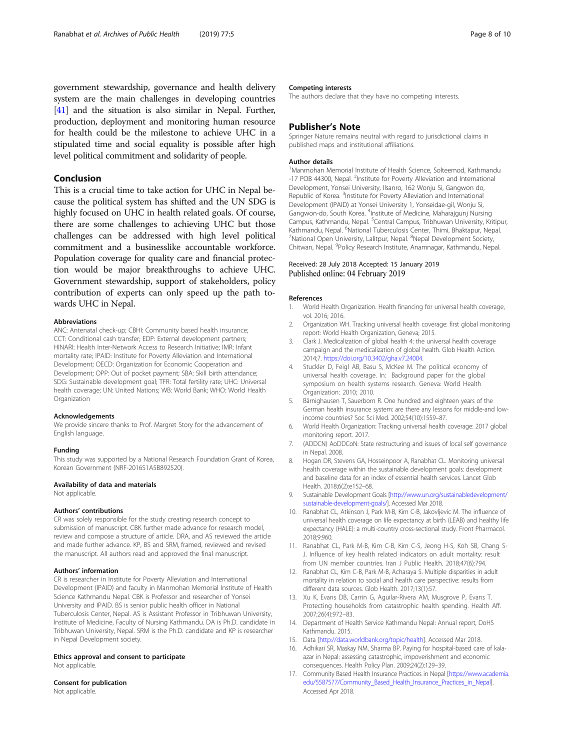<span id="page-7-0"></span>government stewardship, governance and health delivery system are the main challenges in developing countries [[41](#page-8-0)] and the situation is also similar in Nepal. Further, production, deployment and monitoring human resource for health could be the milestone to achieve UHC in a stipulated time and social equality is possible after high level political commitment and solidarity of people.

# Conclusion

This is a crucial time to take action for UHC in Nepal because the political system has shifted and the UN SDG is highly focused on UHC in health related goals. Of course, there are some challenges to achieving UHC but those challenges can be addressed with high level political commitment and a businesslike accountable workforce. Population coverage for quality care and financial protection would be major breakthroughs to achieve UHC. Government stewardship, support of stakeholders, policy contribution of experts can only speed up the path towards UHC in Nepal.

#### Abbreviations

ANC: Antenatal check-up; CBHI: Community based health insurance; CCT: Conditional cash transfer; EDP: External development partners; HINARI: Health Inter-Network Access to Research Initiative; IMR: Infant mortality rate; IPAID: Institute for Poverty Alleviation and International Development; OECD: Organization for Economic Cooperation and Development; OPP: Out of pocket payment; SBA: Skill birth attendance; SDG: Sustainable development goal; TFR: Total fertility rate; UHC: Universal health coverage; UN: United Nations; WB: World Bank; WHO: World Health Organization

#### Acknowledgements

We provide sincere thanks to Prof. Margret Story for the advancement of English language.

#### Funding

This study was supported by a National Research Foundation Grant of Korea, Korean Government (NRF-2016S1A5B892520).

#### Availability of data and materials

Not applicable

#### Authors' contributions

CR was solely responsible for the study creating research concept to submission of manuscript. CBK further made advance for research model. review and compose a structure of article. DRA, and AS reviewed the article and made further advance. KP, BS and SRM, framed, reviewed and revised the manuscript. All authors read and approved the final manuscript.

#### Authors' information

CR is researcher in Institute for Poverty Alleviation and International Development (IPAID) and faculty in Manmohan Memorial Institute of Health Science Kathmandu Nepal. CBK is Professor and researcher of Yonsei University and IPAID. BS is senior public health officer in National Tuberculosis Center, Nepal. AS is Assistant Professor in Tribhuwan University, Institute of Medicine, Faculty of Nursing Kathmandu. DA is Ph.D. candidate in Tribhuwan University, Nepal. SRM is the Ph.D. candidate and KP is researcher in Nepal Development society.

#### Ethics approval and consent to participate Not applicable.

#### Consent for publication

Not applicable.

#### Competing interests

The authors declare that they have no competing interests.

#### Publisher's Note

Springer Nature remains neutral with regard to jurisdictional claims in published maps and institutional affiliations.

#### Author details

<sup>1</sup> Manmohan Memorial Institute of Health Science, Solteemod, Kathmandu -17 POB 44300, Nepal. <sup>2</sup>Institute for Poverty Alleviation and International Development, Yonsei University, Ilsanro, 162 Wonju Si, Gangwon do, Republic of Korea. <sup>3</sup>Institute for Poverty Alleviation and International Development (IPAID) at Yonsei University 1, Yonseidae-gil, Wonju Si, Gangwon-do, South Korea. <sup>4</sup>Institute of Medicine, Maharajgunj Nursing Campus, Kathmandu, Nepal. <sup>5</sup>Central Campus, Tribhuwan University, Kritipur, Kathmandu, Nepal. <sup>6</sup>National Tuberculosis Center, Thimi, Bhaktapur, Nepal.<br><sup>7</sup>National Open University Lalitpur, Nepal. <sup>8</sup>Napal Development Society. National Open University, Lalitpur, Nepal. <sup>8</sup>Nepal Development Society, Chitwan, Nepal. <sup>9</sup>Policy Research Institute, Anamnagar, Kathmandu, Nepal.

### Received: 28 July 2018 Accepted: 15 January 2019 Published online: 04 February 2019

#### References

- 1. World Health Organization. Health financing for universal health coverage, vol. 2016; 2016.
- 2. Organization WH. Tracking universal health coverage: first global monitoring report: World Health Organization, Geneva; 2015.
- 3. Clark J. Medicalization of global health 4: the universal health coverage campaign and the medicalization of global health. Glob Health Action. 2014;7. <https://doi.org/10.3402/gha.v7.24004>.
- 4. Stuckler D, Feigl AB, Basu S, McKee M. The political economy of universal health coverage. In: Background paper for the global symposium on health systems research. Geneva: World Health Organization: 2010; 2010.
- 5. Bärnighausen T, Sauerborn R. One hundred and eighteen years of the German health insurance system: are there any lessons for middle-and lowincome countries? Soc Sci Med. 2002;54(10):1559–87.
- 6. World Health Organization: Tracking universal health coverage: 2017 global monitoring report. 2017.
- 7. (ADDCN) AoDDCoN: State restructuring and issues of local self governance in Nepal. 2008.
- 8. Hogan DR, Stevens GA, Hosseinpoor A, Ranabhat CL. Monitoring universal health coverage within the sustainable development goals: development and baseline data for an index of essential health services. Lancet Glob Health. 2018;6(2):e152–68.
- 9. Sustainable Development Goals [\[http://www.un.org/sustainabledevelopment/](http://www.un.org/sustainabledevelopment/sustainable-development-goals/) [sustainable-development-goals/](http://www.un.org/sustainabledevelopment/sustainable-development-goals/)]. Accessed Mar 2018.
- 10. Ranabhat CL, Atkinson J, Park M-B, Kim C-B, Jakovljevic M. The influence of universal health coverage on life expectancy at birth (LEAB) and healthy life expectancy (HALE): a multi-country cross-sectional study. Front Pharmacol. 2018;9:960.
- 11. Ranabhat CL, Park M-B, Kim C-B, Kim C-S, Jeong H-S, Koh SB, Chang S-J. Influence of key health related indicators on adult mortality: result from UN member countries. Iran J Public Health. 2018;47(6):794.
- 12. Ranabhat CL, Kim C-B, Park M-B, Acharaya S. Multiple disparities in adult mortality in relation to social and health care perspective: results from different data sources. Glob Health. 2017;13(1):57.
- 13. Xu K, Evans DB, Carrin G, Aguilar-Rivera AM, Musgrove P, Evans T. Protecting households from catastrophic health spending. Health Aff. 2007;26(4):972–83.
- 14. Department of Health Service Kathmandu Nepal: Annual report, DoHS Kathmandu. 2015.
- 15. Data [[http://data.worldbank.org/topic/health\]](http://data.worldbank.org/topic/health). Accessed Mar 2018.
- 16. Adhikari SR, Maskay NM, Sharma BP. Paying for hospital-based care of kalaazar in Nepal: assessing catastrophic, impoverishment and economic consequences. Health Policy Plan. 2009;24(2):129–39.
- 17. Community Based Health Insurance Practices in Nepal [\[https://www.academia.](https://www.academia.edu/5587577/Community_Based_Health_Insurance_Practices_in_Nepal) [edu/5587577/Community\\_Based\\_Health\\_Insurance\\_Practices\\_in\\_Nepal](https://www.academia.edu/5587577/Community_Based_Health_Insurance_Practices_in_Nepal)]. Accessed Apr 2018.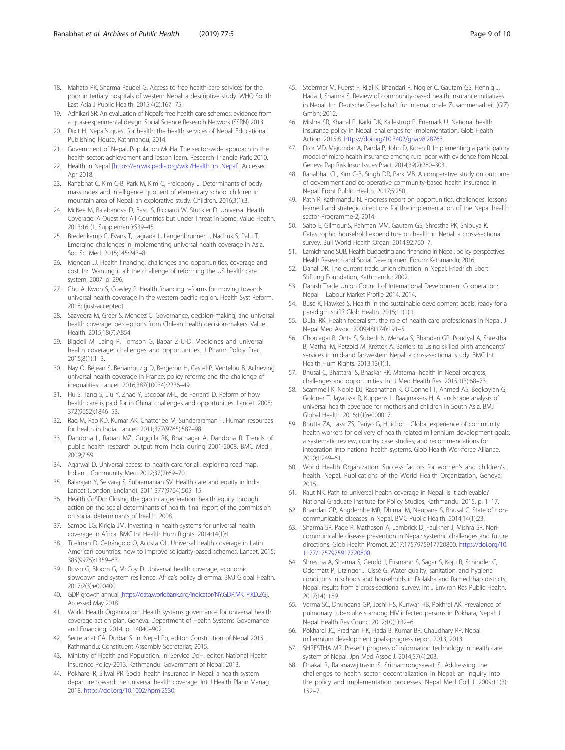- <span id="page-8-0"></span>18. Mahato PK, Sharma Paudel G. Access to free health-care services for the poor in tertiary hospitals of western Nepal: a descriptive study. WHO South East Asia J Public Health. 2015;4(2):167–75.
- 19. Adhikari SR: An evaluation of Nepal's free health care schemes: evidence from a quasi-experimental design. Social Science Research Network (SSRN) 2013.
- 20. Dixit H. Nepal's quest for health: the health services of Nepal: Educational Publishing House, Kathmandu; 2014.
- 21. Government of Nepal, Population MoHa. The sector-wide approach in the health sector: achievement and lesson learn. Research Triangle Park; 2010.
- 22. Health in Nepal [\[https://en.wikipedia.org/wiki/Health\\_in\\_Nepal](https://en.wikipedia.org/wiki/Health_in_Nepal)]. Accessed Apr 2018.
- 23. Ranabhat C, Kim C-B, Park M, Kim C, Freidoony L. Determinants of body mass index and intelligence quotient of elementary school children in mountain area of Nepal: an explorative study. Children. 2016;3(1):3.
- 24. McKee M, Balabanova D, Basu S, Ricciardi W, Stuckler D. Universal Health Coverage: A Quest for All Countries but under Threat in Some. Value Health. 2013;16 (1, Supplement):S39–45.
- 25. Bredenkamp C, Evans T, Lagrada L, Langenbrunner J, Nachuk S, Palu T. Emerging challenges in implementing universal health coverage in Asia. Soc Sci Med. 2015;145:243–8.
- 26. Mongan JJ. Health financing: challenges and opportunities, coverage and cost. In: Wanting it all: the challenge of reforming the US health care system; 2007. p. 296.
- 27. Chu A, Kwon S, Cowley P. Health financing reforms for moving towards universal health coverage in the western pacific region. Health Syst Reform. 2018; (just-accepted).
- 28. Saavedra M, Greer S, Méndez C. Governance, decision-making, and universal health coverage: perceptions from Chilean health decision-makers. Value Health. 2015;18(7):A854.
- 29. Bigdeli M, Laing R, Tomson G, Babar Z-U-D. Medicines and universal health coverage: challenges and opportunities. J Pharm Policy Prac. 2015;8(1):1–3.
- 30. Nay O, Béjean S, Benamouzig D, Bergeron H, Castel P, Ventelou B. Achieving universal health coverage in France: policy reforms and the challenge of inequalities. Lancet. 2016;387(10034):2236–49.
- 31. Hu S, Tang S, Liu Y, Zhao Y, Escobar M-L, de Ferranti D. Reform of how health care is paid for in China: challenges and opportunities. Lancet. 2008; 372(9652):1846–53.
- 32. Rao M, Rao KD, Kumar AK, Chatterjee M, Sundararaman T. Human resources for health in India. Lancet. 2011;377(9765):587–98.
- 33. Dandona L, Raban MZ, Guggilla RK, Bhatnagar A, Dandona R. Trends of public health research output from India during 2001-2008. BMC Med. 2009;7:59.
- 34. Agarwal D. Universal access to health care for all: exploring road map. Indian J Community Med. 2012;37(2):69–70.
- 35. Balarajan Y, Selvaraj S, Subramanian SV. Health care and equity in India. Lancet (London, England). 2011;377(9764):505–15.
- 36. Health CoSDo: Closing the gap in a generation: health equity through action on the social determinants of health: final report of the commission on social determinants of health. 2008.
- 37. Sambo LG, Kirigia JM. Investing in health systems for universal health coverage in Africa. BMC Int Health Hum Rights. 2014;14(1):1.
- 38. Titelman D, Cetrángolo O, Acosta OL. Universal health coverage in Latin American countries: how to improve solidarity-based schemes. Lancet. 2015; 385(9975):1359–63.
- 39. Russo G, Bloom G, McCoy D. Universal health coverage, economic slowdown and system resilience: Africa's policy dilemma. BMJ Global Health. 2017;2(3):e000400.
- 40. GDP growth annual [[https://data.worldbank.org/indicator/NY.GDP.MKTP.KD.ZG\]](https://data.worldbank.org/indicator/NY.GDP.MKTP.KD.ZG). Accessed May 2018.
- 41. World Health Organization. Health systems governance for universal health coverage action plan. Geneva: Department of Health Systems Governance and Financing; 2014. p. 14040–902.
- 42. Secretariat CA, Durbar S. In: Nepal Po, editor. Constitution of Nepal 2015. Kathmandu: Constituent Assembly Secretariat; 2015.
- 43. Ministry of Health and Population. In: Service DoH, editor. National Health Insurance Policy-2013. Kathmandu: Government of Nepal; 2013.
- 44. Pokharel R, Silwal PR. Social health insurance in Nepal: a health system departure toward the universal health coverage. Int J Health Plann Manag. 2018. <https://doi.org/10.1002/hpm.2530>.
- 45. Stoermer M, Fuerst F, Rijal K, Bhandari R, Nogier C, Gautam GS, Hennig J, Hada J, Sharma S. Review of community-based health insurance initiatives in Nepal. In: Deutsche Gesellschaft fur internationale Zusammenarbeit (GIZ) Gmbh; 2012.
- 46. Mishra SR, Khanal P, Karki DK, Kallestrup P, Enemark U. National health insurance policy in Nepal: challenges for implementation. Glob Health Action. 2015;8. <https://doi.org/10.3402/gha.v8.28763>.
- 47. Dror MD, Majumdar A, Panda P, John D, Koren R. Implementing a participatory model of micro health insurance among rural poor with evidence from Nepal. Geneva Pap Risk Insur Issues Pract. 2014;39(2):280–303.
- 48. Ranabhat CL, Kim C-B, Singh DR, Park MB. A comparative study on outcome of government and co-operative community-based health insurance in Nepal. Front Public Health. 2017;5:250.
- 49. Path R, Kathmandu N. Progress report on opportunities, challenges, lessons learned and strategic directions for the implementation of the Nepal health sector Programme-2; 2014.
- 50. Saito E, Gilmour S, Rahman MM, Gautam GS, Shrestha PK, Shibuya K. Catastrophic household expenditure on health in Nepal: a cross-sectional survey. Bull World Health Organ. 2014;92:760–7.
- 51. Lamichhane SUB. Health budgeting and financing in Nepal: policy perspectives. Health Research and Social Development Forum: Kathmandu; 2016.
- 52. Dahal DR. The current trade union situation in Nepal: Friedrich Ebert Stiftung Foundation, Kathmandu; 2002.
- 53. Danish Trade Union Council of International Development Cooperation: Nepal – Labour Market Profile 2014. 2014.
- 54. Buse K, Hawkes S. Health in the sustainable development goals: ready for a paradigm shift? Glob Health. 2015;11(1):1.
- 55. Dulal RK. Health federalism: the role of health care professionals in Nepal. J Nepal Med Assoc. 2009;48(174):191–5.
- 56. Choulagai B, Onta S, Subedi N, Mehata S, Bhandari GP, Poudyal A, Shrestha B, Mathai M, Petzold M, Krettek A. Barriers to using skilled birth attendants' services in mid-and far-western Nepal: a cross-sectional study. BMC Int Health Hum Rights. 2013;13(1):1.
- 57. Bhusal C, Bhattarai S, Bhaskar RK. Maternal health in Nepal progress, challenges and opportunities. Int J Med Health Res. 2015;1(3):68–73.
- 58. Scammell K, Noble DJ, Rasanathan K, O'Connell T, Ahmed AS, Begkoyian G, Goldner T, Jayatissa R, Kuppens L, Raaijmakers H. A landscape analysis of universal health coverage for mothers and children in South Asia. BMJ Global Health. 2016;1(1):e000017.
- 59. Bhutta ZA, Lassi ZS, Pariyo G, Huicho L. Global experience of community health workers for delivery of health related millennium development goals: a systematic review, country case studies, and recommendations for integration into national health systems. Glob Health Workforce Alliance. 2010;1:249–61.
- 60. World Health Organization. Success factors for women's and children's health. Nepal. Publications of the World Health Organization, Geneva; 2015.
- 61. Raut NK. Path to universal health coverage in Nepal: is it achievable? National Graduate Institute for Policy Studies, Kathmandu; 2015. p. 1–17.
- 62. Bhandari GP, Angdembe MR, Dhimal M, Neupane S, Bhusal C. State of noncommunicable diseases in Nepal. BMC Public Health. 2014;14(1):23.
- 63. Sharma SR, Page R, Matheson A, Lambrick D, Faulkner J, Mishra SR. Noncommunicable disease prevention in Nepal: systemic challenges and future directions. Glob Health Promot. 2017:1757975917720800. [https://doi.org/10.](https://doi.org/10.1177/1757975917720800) [1177/1757975917720800](https://doi.org/10.1177/1757975917720800).
- 64. Shrestha A, Sharma S, Gerold J, Erismann S, Sagar S, Koju R, Schindler C, Odermatt P, Utzinger J, Cissé G. Water quality, sanitation, and hygiene conditions in schools and households in Dolakha and Ramechhap districts, Nepal: results from a cross-sectional survey. Int J Environ Res Public Health. 2017;14(1):89.
- 65. Verma SC, Dhungana GP, Joshi HS, Kunwar HB, Pokhrel AK. Prevalence of pulmonary tuberculosis among HIV infected persons in Pokhara, Nepal. J Nepal Health Res Counc. 2012;10(1):32–6.
- 66. Pokharel JC, Pradhan HK, Hada B, Kumar BR, Chaudhary RP. Nepal millennium development goals-progress report 2013; 2013.
- 67. SHRESTHA MR. Present progress of information technology in health care system of Nepal. Jpn Med Assoc J. 2014;57(4):203.
- 68. Dhakal R, Ratanawijitrasin S, Srithamrongsawat S. Addressing the challenges to health sector decentralization in Nepal: an inquiry into the policy and implementation processes. Nepal Med Coll J. 2009;11(3): 152–7.